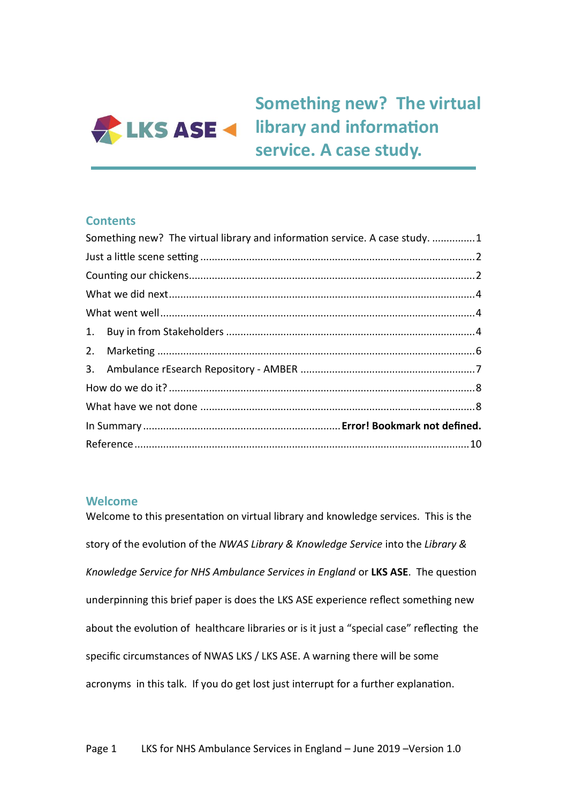

# <span id="page-0-0"></span>**Something new? The virtual LKS ASE 4** library and information **service. A case study.**

### **Contents**

| Something new? The virtual library and information service. A case study. 1 |  |
|-----------------------------------------------------------------------------|--|
|                                                                             |  |
|                                                                             |  |
|                                                                             |  |
|                                                                             |  |
|                                                                             |  |
|                                                                             |  |
|                                                                             |  |
|                                                                             |  |
|                                                                             |  |
|                                                                             |  |
|                                                                             |  |

# **Welcome**

<span id="page-0-1"></span>Welcome to this presentation on virtual library and knowledge services. This is the story of the evolution of the *NWAS Library & Knowledge Service* into the *Library & Knowledge Service for NHS Ambulance Services in England* or **LKS ASE**. The question underpinning this brief paper is does the LKS ASE experience reflect something new about the evolution of healthcare libraries or is it just a "special case" reflecting the specific circumstances of NWAS LKS / LKS ASE. A warning there will be some acronyms in this talk. If you do get lost just interrupt for a further explanation.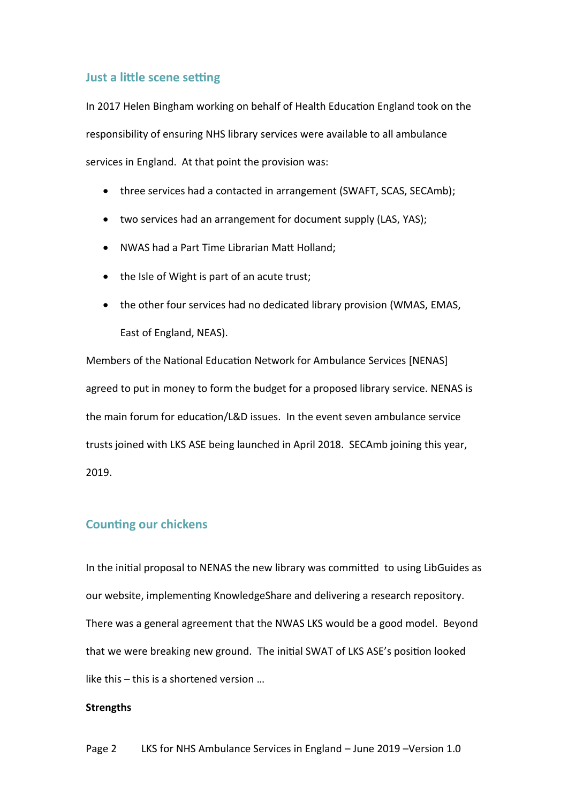#### **Just a little scene setting**

In 2017 Helen Bingham working on behalf of Health Education England took on the responsibility of ensuring NHS library services were available to all ambulance services in England. At that point the provision was:

- three services had a contacted in arrangement (SWAFT, SCAS, SECAmb);
- two services had an arrangement for document supply (LAS, YAS);
- NWAS had a Part Time Librarian Matt Holland;
- the Isle of Wight is part of an acute trust;
- the other four services had no dedicated library provision (WMAS, EMAS, East of England, NEAS).

Members of the National Education Network for Ambulance Services [NENAS] agreed to put in money to form the budget for a proposed library service. NENAS is the main forum for education/L&D issues. In the event seven ambulance service trusts joined with LKS ASE being launched in April 2018. SECAmb joining this year, 2019.

### <span id="page-1-0"></span>**Counting our chickens**

In the initial proposal to NENAS the new library was committed to using LibGuides as our website, implementing KnowledgeShare and delivering a research repository. There was a general agreement that the NWAS LKS would be a good model. Beyond that we were breaking new ground. The initial SWAT of LKS ASE's position looked like this – this is a shortened version …

#### **Strengths**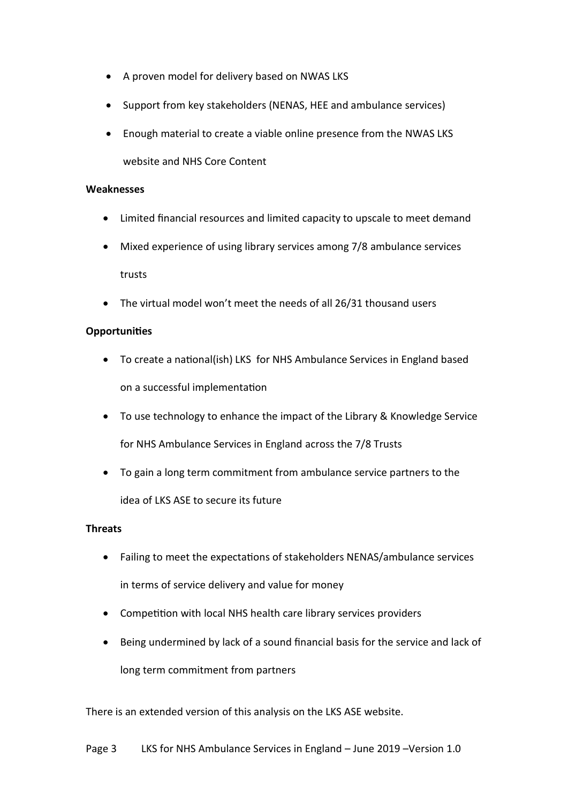- A proven model for delivery based on NWAS LKS
- Support from key stakeholders (NENAS, HEE and ambulance services)
- Enough material to create a viable online presence from the NWAS LKS website and NHS Core Content

#### **Weaknesses**

- Limited financial resources and limited capacity to upscale to meet demand
- Mixed experience of using library services among 7/8 ambulance services trusts
- The virtual model won't meet the needs of all 26/31 thousand users

#### **Opportunities**

- To create a national(ish) LKS for NHS Ambulance Services in England based on a successful implementation
- To use technology to enhance the impact of the Library & Knowledge Service for NHS Ambulance Services in England across the 7/8 Trusts
- To gain a long term commitment from ambulance service partners to the idea of LKS ASE to secure its future

#### **Threats**

- Failing to meet the expectations of stakeholders NENAS/ambulance services in terms of service delivery and value for money
- Competition with local NHS health care library services providers
- Being undermined by lack of a sound financial basis for the service and lack of long term commitment from partners

There is an extended version of this analysis on the LKS ASE website.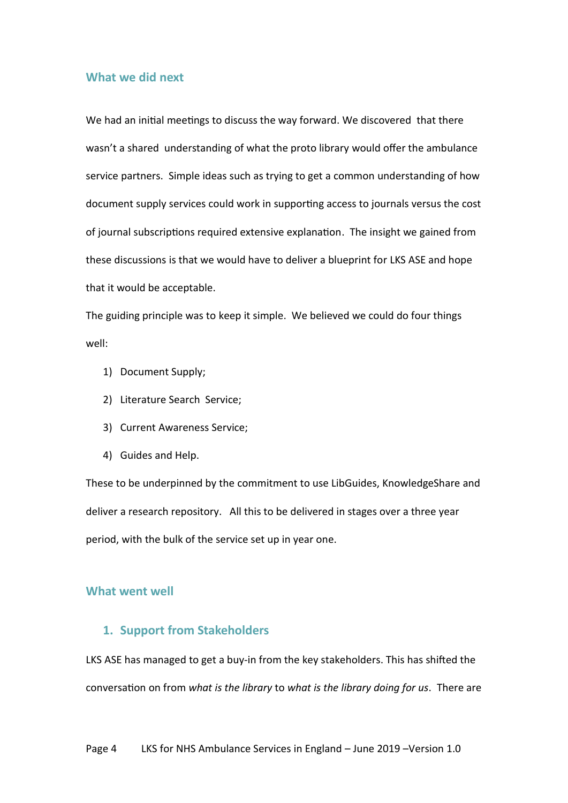# <span id="page-3-0"></span>**What we did next**

We had an initial meetings to discuss the way forward. We discovered that there wasn't a shared understanding of what the proto library would offer the ambulance service partners. Simple ideas such as trying to get a common understanding of how document supply services could work in supporting access to journals versus the cost of journal subscriptions required extensive explanation. The insight we gained from these discussions is that we would have to deliver a blueprint for LKS ASE and hope that it would be acceptable.

The guiding principle was to keep it simple. We believed we could do four things well:

- 1) Document Supply;
- 2) Literature Search Service;
- 3) Current Awareness Service;
- 4) Guides and Help.

These to be underpinned by the commitment to use LibGuides, KnowledgeShare and deliver a research repository. All this to be delivered in stages over a three year period, with the bulk of the service set up in year one.

### <span id="page-3-2"></span><span id="page-3-1"></span>**What went well**

#### **1. Support from Stakeholders**

LKS ASE has managed to get a buy-in from the key stakeholders. This has shifted the conversation on from *what is the library* to *what is the library doing for us*. There are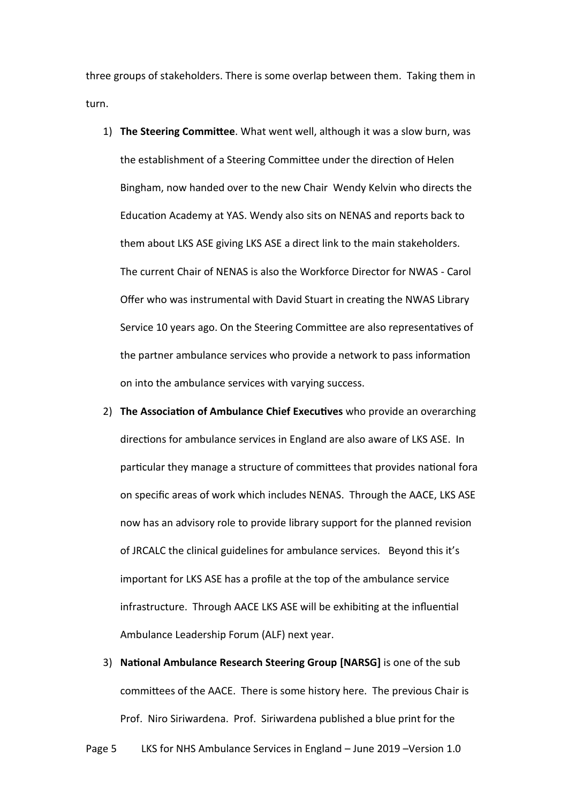three groups of stakeholders. There is some overlap between them. Taking them in turn.

- 1) **The Steering Committee**. What went well, although it was a slow burn, was the establishment of a Steering Committee under the direction of Helen Bingham, now handed over to the new Chair Wendy Kelvin who directs the Education Academy at YAS. Wendy also sits on NENAS and reports back to them about LKS ASE giving LKS ASE a direct link to the main stakeholders. The current Chair of NENAS is also the Workforce Director for NWAS - Carol Offer who was instrumental with David Stuart in creating the NWAS Library Service 10 years ago. On the Steering Committee are also representatives of the partner ambulance services who provide a network to pass information on into the ambulance services with varying success.
- 2) **The Association of Ambulance Chief Executives** who provide an overarching directions for ambulance services in England are also aware of LKS ASE. In particular they manage a structure of committees that provides national fora on specific areas of work which includes NENAS. Through the AACE, LKS ASE now has an advisory role to provide library support for the planned revision of JRCALC the clinical guidelines for ambulance services. Beyond this it's important for LKS ASE has a profile at the top of the ambulance service infrastructure. Through AACE LKS ASE will be exhibiting at the influential Ambulance Leadership Forum (ALF) next year.
- 3) **National Ambulance Research Steering Group [NARSG]** is one of the sub committees of the AACE. There is some history here. The previous Chair is Prof. Niro Siriwardena. Prof. Siriwardena published a blue print for the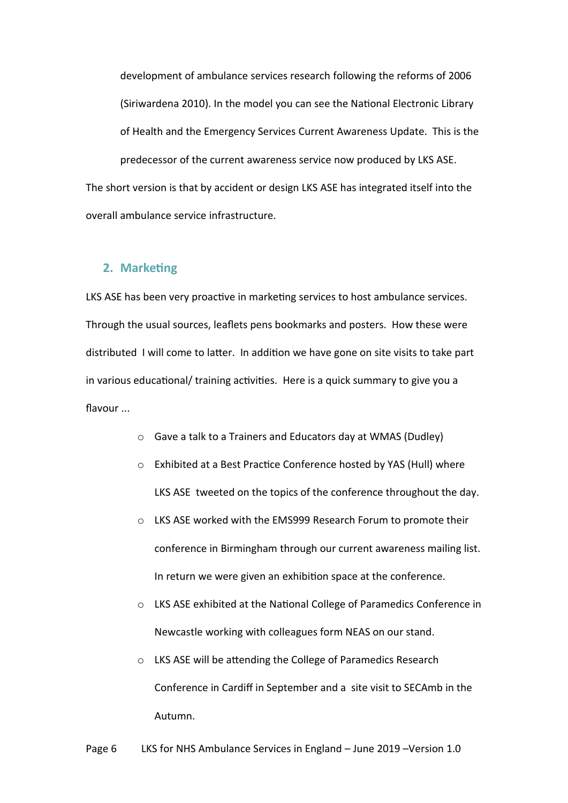development of ambulance services research following the reforms of 2006 (Siriwardena 2010). In the model you can see the National Electronic Library of Health and the Emergency Services Current Awareness Update. This is the predecessor of the current awareness service now produced by LKS ASE. The short version is that by accident or design LKS ASE has integrated itself into the overall ambulance service infrastructure.

#### <span id="page-5-0"></span>**2. Marketing**

LKS ASE has been very proactive in marketing services to host ambulance services. Through the usual sources, leaflets pens bookmarks and posters. How these were distributed I will come to latter. In addition we have gone on site visits to take part in various educational/ training activities. Here is a quick summary to give you a flavour ...

- o Gave a talk to a Trainers and Educators day at WMAS (Dudley)
- o Exhibited at a Best Practice Conference hosted by YAS (Hull) where LKS ASE tweeted on the topics of the conference throughout the day.
- o LKS ASE worked with the EMS999 Research Forum to promote their conference in Birmingham through our current awareness mailing list. In return we were given an exhibition space at the conference.
- o LKS ASE exhibited at the National College of Paramedics Conference in Newcastle working with colleagues form NEAS on our stand.
- o LKS ASE will be attending the College of Paramedics Research Conference in Cardiff in September and a site visit to SECAmb in the Autumn.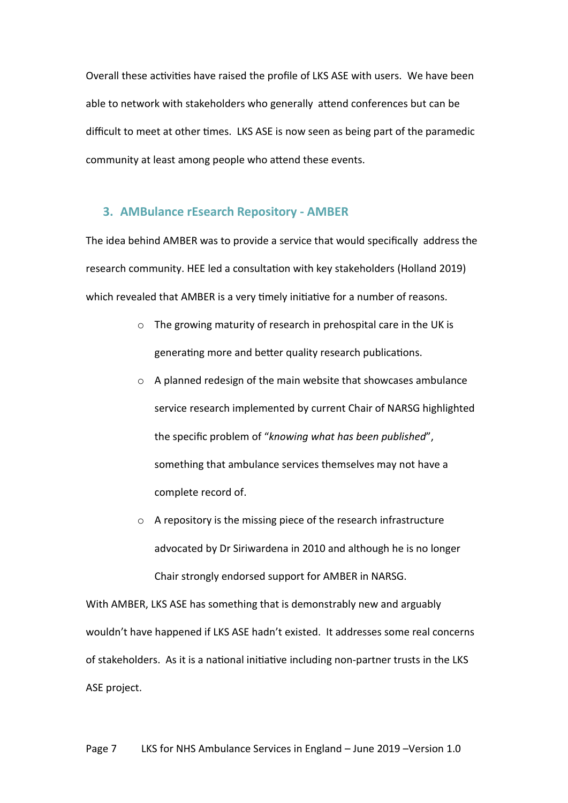Overall these activities have raised the profile of LKS ASE with users. We have been able to network with stakeholders who generally attend conferences but can be difficult to meet at other times. LKS ASE is now seen as being part of the paramedic community at least among people who attend these events.

#### <span id="page-6-0"></span>**3. AMBulance rEsearch Repository - AMBER**

The idea behind AMBER was to provide a service that would specifically address the research community. HEE led a consultation with key stakeholders (Holland 2019) which revealed that AMBER is a very timely initiative for a number of reasons.

- o The growing maturity of research in prehospital care in the UK is generating more and better quality research publications.
- o A planned redesign of the main website that showcases ambulance service research implemented by current Chair of NARSG highlighted the specific problem of "*knowing what has been published*", something that ambulance services themselves may not have a complete record of.
- o A repository is the missing piece of the research infrastructure advocated by Dr Siriwardena in 2010 and although he is no longer Chair strongly endorsed support for AMBER in NARSG.

With AMBER, LKS ASE has something that is demonstrably new and arguably wouldn't have happened if LKS ASE hadn't existed. It addresses some real concerns of stakeholders. As it is a national initiative including non-partner trusts in the LKS ASE project.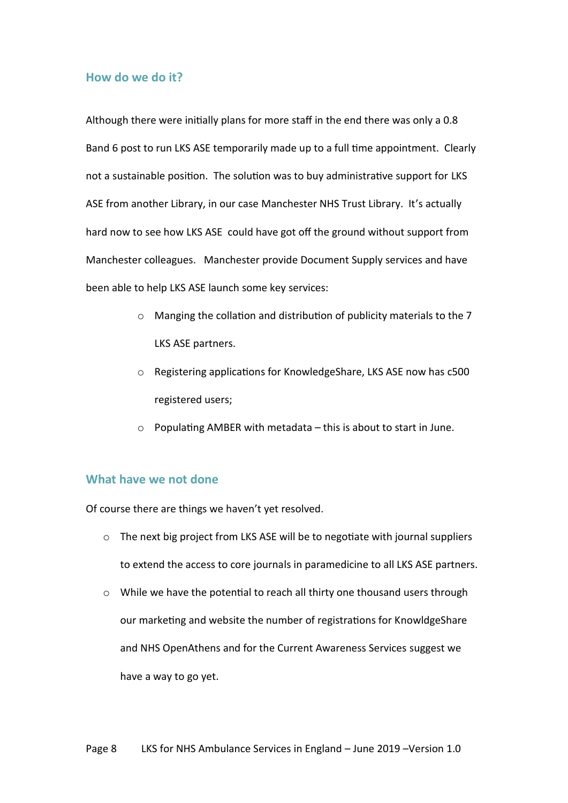### <span id="page-7-0"></span>**How do we do it?**

Although there were initially plans for more staff in the end there was only a 0.8 Band 6 post to run LKS ASE temporarily made up to a full time appointment. Clearly not a sustainable position. The solution was to buy administrative support for LKS ASE from another Library, in our case Manchester NHS Trust Library. It's actually hard now to see how LKS ASE could have got off the ground without support from Manchester colleagues. Manchester provide Document Supply services and have been able to help LKS ASE launch some key services:

- o Manging the collation and distribution of publicity materials to the 7 LKS ASE partners.
- o Registering applications for KnowledgeShare, LKS ASE now has c500 registered users;
- o Populating AMBER with metadata this is about to start in June.

# <span id="page-7-1"></span>**What have we not done**

Of course there are things we haven't yet resolved.

- o The next big project from LKS ASE will be to negotiate with journal suppliers to extend the access to core journals in paramedicine to all LKS ASE partners.
- o While we have the potential to reach all thirty one thousand users through our marketing and website the number of registrations for KnowldgeShare and NHS OpenAthens and for the Current Awareness Services suggest we have a way to go yet.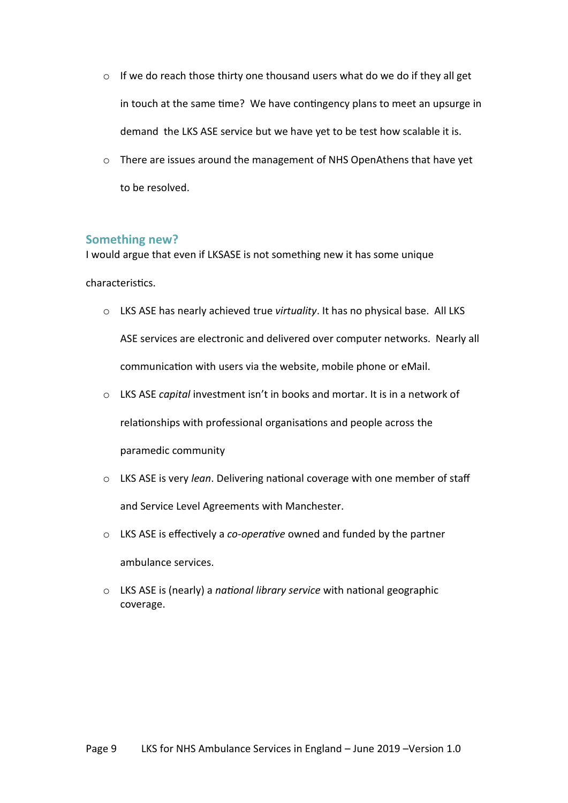- o If we do reach those thirty one thousand users what do we do if they all get in touch at the same time? We have contingency plans to meet an upsurge in demand the LKS ASE service but we have yet to be test how scalable it is.
- o There are issues around the management of NHS OpenAthens that have yet to be resolved.

#### **Something new?**

I would argue that even if LKSASE is not something new it has some unique

characteristics.

- o LKS ASE has nearly achieved true *virtuality*. It has no physical base. All LKS ASE services are electronic and delivered over computer networks. Nearly all communication with users via the website, mobile phone or eMail.
- o LKS ASE *capital* investment isn't in books and mortar. It is in a network of relationships with professional organisations and people across the paramedic community
- o LKS ASE is very *lean*. Delivering national coverage with one member of staff and Service Level Agreements with Manchester.
- o LKS ASE is effectively a *co-operative* owned and funded by the partner ambulance services.
- o LKS ASE is (nearly) a *national library service* with national geographic coverage.